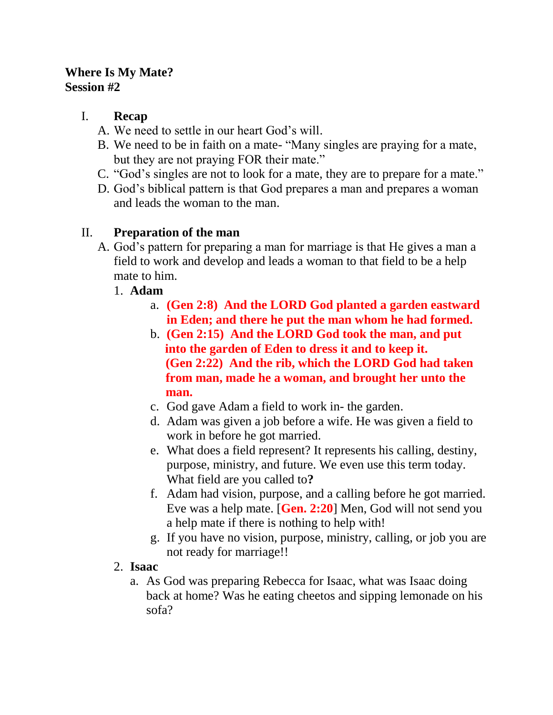### **Where Is My Mate? Session #2**

## I. **Recap**

- A. We need to settle in our heart God's will.
- B. We need to be in faith on a mate- "Many singles are praying for a mate, but they are not praying FOR their mate."
- C. "God's singles are not to look for a mate, they are to prepare for a mate."
- D. God's biblical pattern is that God prepares a man and prepares a woman and leads the woman to the man.

# II. **Preparation of the man**

- A. God's pattern for preparing a man for marriage is that He gives a man a field to work and develop and leads a woman to that field to be a help mate to him.
	- 1. **Adam**
		- a. **(Gen 2:8) And the LORD God planted a garden eastward in Eden; and there he put the man whom he had formed.**
		- b. **(Gen 2:15) And the LORD God took the man, and put into the garden of Eden to dress it and to keep it. (Gen 2:22) And the rib, which the LORD God had taken from man, made he a woman, and brought her unto the man.**
		- c. God gave Adam a field to work in- the garden.
		- d. Adam was given a job before a wife. He was given a field to work in before he got married.
		- e. What does a field represent? It represents his calling, destiny, purpose, ministry, and future. We even use this term today. What field are you called to**?**
		- f. Adam had vision, purpose, and a calling before he got married. Eve was a help mate. [**Gen. 2:20**] Men, God will not send you a help mate if there is nothing to help with!
		- g. If you have no vision, purpose, ministry, calling, or job you are not ready for marriage!!
	- 2. **Isaac**
		- a. As God was preparing Rebecca for Isaac, what was Isaac doing back at home? Was he eating cheetos and sipping lemonade on his sofa?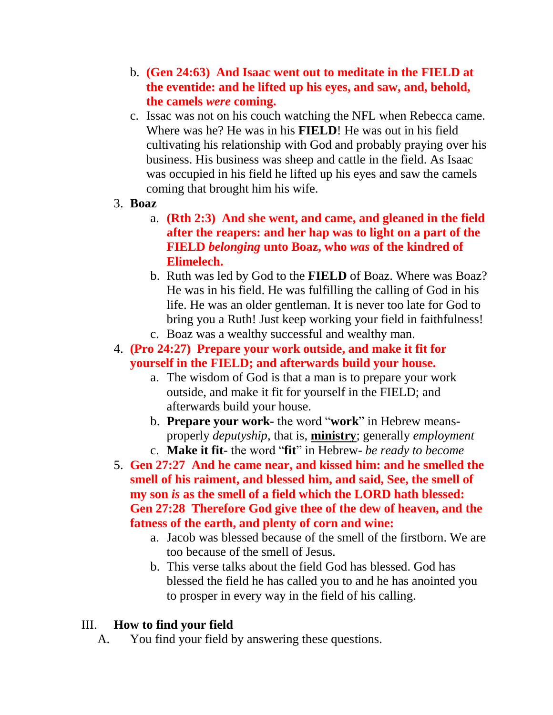- b. **(Gen 24:63) And Isaac went out to meditate in the FIELD at the eventide: and he lifted up his eyes, and saw, and, behold, the camels** *were* **coming.**
- c. Issac was not on his couch watching the NFL when Rebecca came. Where was he? He was in his **FIELD**! He was out in his field cultivating his relationship with God and probably praying over his business. His business was sheep and cattle in the field. As Isaac was occupied in his field he lifted up his eyes and saw the camels coming that brought him his wife.
- 3. **Boaz**
	- a. **(Rth 2:3) And she went, and came, and gleaned in the field after the reapers: and her hap was to light on a part of the FIELD** *belonging* **unto Boaz, who** *was* **of the kindred of Elimelech.**
	- b. Ruth was led by God to the **FIELD** of Boaz. Where was Boaz? He was in his field. He was fulfilling the calling of God in his life. He was an older gentleman. It is never too late for God to bring you a Ruth! Just keep working your field in faithfulness!
	- c. Boaz was a wealthy successful and wealthy man.
- 4. **(Pro 24:27) Prepare your work outside, and make it fit for yourself in the FIELD; and afterwards build your house.**
	- a. The wisdom of God is that a man is to prepare your work outside, and make it fit for yourself in the FIELD; and afterwards build your house.
	- b. **Prepare your work** the word "**work**" in Hebrew meansproperly *deputyship*, that is, **ministry**; generally *employment* c. **Make it fit**- the word "**fit**" in Hebrew- *be ready to become*
- 5. **Gen 27:27 And he came near, and kissed him: and he smelled the smell of his raiment, and blessed him, and said, See, the smell of my son** *is* **as the smell of a field which the LORD hath blessed: Gen 27:28 Therefore God give thee of the dew of heaven, and the fatness of the earth, and plenty of corn and wine:** 
	- a. Jacob was blessed because of the smell of the firstborn. We are too because of the smell of Jesus.
	- b. This verse talks about the field God has blessed. God has blessed the field he has called you to and he has anointed you to prosper in every way in the field of his calling.

## III. **How to find your field**

A. You find your field by answering these questions.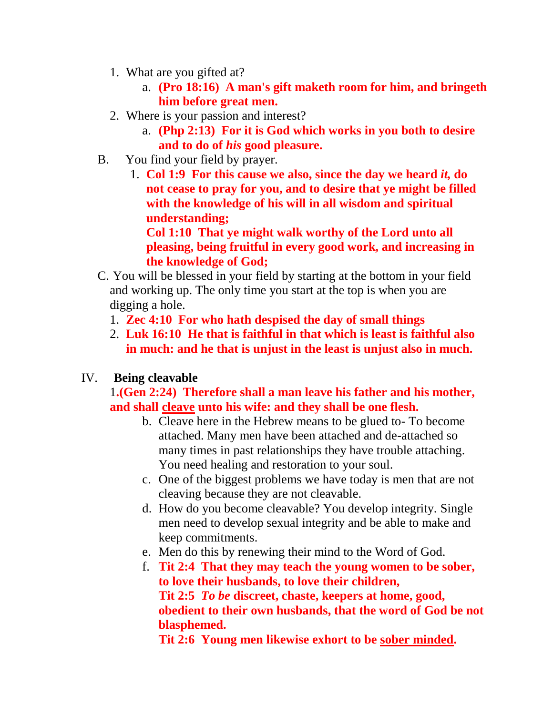- 1. What are you gifted at?
	- a. **(Pro 18:16) A man's gift maketh room for him, and bringeth him before great men.**
- 2. Where is your passion and interest?
	- a. **(Php 2:13) For it is God which works in you both to desire and to do of** *his* **good pleasure.**
- B. You find your field by prayer.
	- 1. **Col 1:9 For this cause we also, since the day we heard** *it,* **do not cease to pray for you, and to desire that ye might be filled with the knowledge of his will in all wisdom and spiritual understanding;**

**Col 1:10 That ye might walk worthy of the Lord unto all pleasing, being fruitful in every good work, and increasing in the knowledge of God;** 

- C. You will be blessed in your field by starting at the bottom in your field and working up. The only time you start at the top is when you are digging a hole.
	- 1. **Zec 4:10 For who hath despised the day of small things**
	- 2. **Luk 16:10 He that is faithful in that which is least is faithful also in much: and he that is unjust in the least is unjust also in much.**

#### IV. **Being cleavable**

1**.(Gen 2:24) Therefore shall a man leave his father and his mother, and shall cleave unto his wife: and they shall be one flesh.**

- b. Cleave here in the Hebrew means to be glued to- To become attached. Many men have been attached and de-attached so many times in past relationships they have trouble attaching. You need healing and restoration to your soul.
- c. One of the biggest problems we have today is men that are not cleaving because they are not cleavable.
- d. How do you become cleavable? You develop integrity. Single men need to develop sexual integrity and be able to make and keep commitments.
- e. Men do this by renewing their mind to the Word of God.
- f. **Tit 2:4 That they may teach the young women to be sober, to love their husbands, to love their children, Tit 2:5** *To be* **discreet, chaste, keepers at home, good, obedient to their own husbands, that the word of God be not blasphemed.**

**Tit 2:6 Young men likewise exhort to be sober minded.**